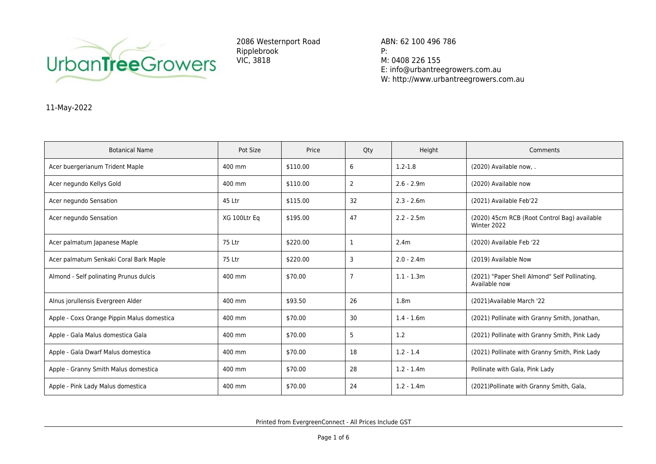

2086 Westernport Road Ripplebrook VIC, 3818

ABN: 62 100 496 786 P: M: 0408 226 155 E: info@urbantreegrowers.com.au W: http://www.urbantreegrowers.com.au

## 11-May-2022

| <b>Botanical Name</b>                      | Pot Size     | Price    | Qty            | Height           | Comments                                                       |
|--------------------------------------------|--------------|----------|----------------|------------------|----------------------------------------------------------------|
| Acer buergerianum Trident Maple            | 400 mm       | \$110.00 | 6              | $1.2 - 1.8$      | (2020) Available now, .                                        |
| Acer negundo Kellys Gold                   | 400 mm       | \$110.00 | 2              | $2.6 - 2.9m$     | (2020) Available now                                           |
| Acer negundo Sensation                     | 45 Ltr       | \$115.00 | 32             | $2.3 - 2.6m$     | (2021) Available Feb'22                                        |
| Acer negundo Sensation                     | XG 100Ltr Eq | \$195.00 | 47             | $2.2 - 2.5m$     | (2020) 45cm RCB (Root Control Bag) available<br>Winter 2022    |
| Acer palmatum Japanese Maple               | 75 Ltr       | \$220.00 | 1              | 2.4 <sub>m</sub> | (2020) Available Feb '22                                       |
| Acer palmatum Senkaki Coral Bark Maple     | 75 Ltr       | \$220.00 | 3              | $2.0 - 2.4m$     | (2019) Available Now                                           |
| Almond - Self polinating Prunus dulcis     | 400 mm       | \$70.00  | $\overline{7}$ | $1.1 - 1.3m$     | (2021) "Paper Shell Almond" Self Pollinating.<br>Available now |
| Alnus jorullensis Evergreen Alder          | 400 mm       | \$93.50  | 26             | 1.8 <sub>m</sub> | (2021) Available March '22                                     |
| Apple - Coxs Orange Pippin Malus domestica | 400 mm       | \$70.00  | 30             | $1.4 - 1.6m$     | (2021) Pollinate with Granny Smith, Jonathan,                  |
| Apple - Gala Malus domestica Gala          | 400 mm       | \$70.00  | 5              | 1.2              | (2021) Pollinate with Granny Smith, Pink Lady                  |
| Apple - Gala Dwarf Malus domestica         | 400 mm       | \$70.00  | 18             | $1.2 - 1.4$      | (2021) Pollinate with Granny Smith, Pink Lady                  |
| Apple - Granny Smith Malus domestica       | 400 mm       | \$70.00  | 28             | $1.2 - 1.4m$     | Pollinate with Gala, Pink Lady                                 |
| Apple - Pink Lady Malus domestica          | 400 mm       | \$70.00  | 24             | $1.2 - 1.4m$     | (2021) Pollinate with Granny Smith, Gala,                      |

Printed from EvergreenConnect - All Prices Include GST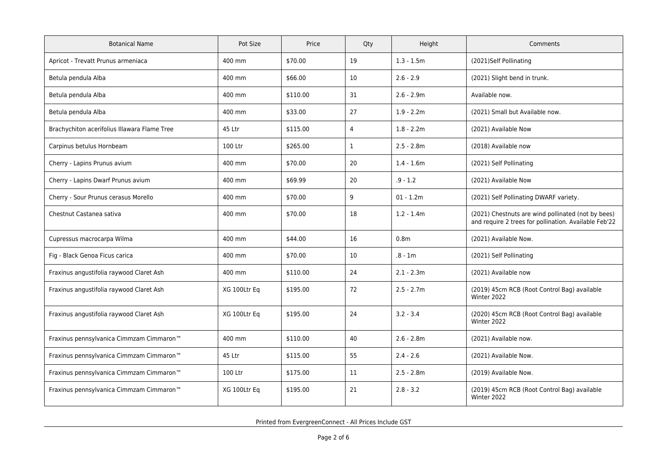| <b>Botanical Name</b>                                | Pot Size     | Price    | Qty            | Height           | Comments                                                                                                    |
|------------------------------------------------------|--------------|----------|----------------|------------------|-------------------------------------------------------------------------------------------------------------|
| Apricot - Trevatt Prunus armeniaca                   | 400 mm       | \$70.00  | 19             | $1.3 - 1.5m$     | (2021)Self Pollinating                                                                                      |
| Betula pendula Alba                                  | 400 mm       | \$66.00  | 10             | $2.6 - 2.9$      | (2021) Slight bend in trunk.                                                                                |
| Betula pendula Alba                                  | 400 mm       | \$110.00 | 31             | $2.6 - 2.9m$     | Available now.                                                                                              |
| Betula pendula Alba                                  | 400 mm       | \$33.00  | 27             | $1.9 - 2.2m$     | (2021) Small but Available now.                                                                             |
| Brachychiton acerifolius Illawara Flame Tree         | 45 Ltr       | \$115.00 | $\overline{4}$ | $1.8 - 2.2m$     | (2021) Available Now                                                                                        |
| Carpinus betulus Hornbeam                            | 100 Ltr      | \$265.00 | $\mathbf{1}$   | $2.5 - 2.8m$     | (2018) Available now                                                                                        |
| Cherry - Lapins Prunus avium                         | 400 mm       | \$70.00  | 20             | $1.4 - 1.6m$     | (2021) Self Pollinating                                                                                     |
| Cherry - Lapins Dwarf Prunus avium                   | 400 mm       | \$69.99  | 20             | $.9 - 1.2$       | (2021) Available Now                                                                                        |
| Cherry - Sour Prunus cerasus Morello                 | 400 mm       | \$70.00  | 9              | $01 - 1.2m$      | (2021) Self Pollinating DWARF variety.                                                                      |
| Chestnut Castanea sativa                             | 400 mm       | \$70.00  | 18             | $1.2 - 1.4m$     | (2021) Chestnuts are wind pollinated (not by bees)<br>and require 2 trees for pollination. Available Feb'22 |
| Cupressus macrocarpa Wilma                           | 400 mm       | \$44.00  | 16             | 0.8 <sub>m</sub> | (2021) Available Now.                                                                                       |
| Fig - Black Genoa Ficus carica                       | 400 mm       | \$70.00  | 10             | $.8 - 1m$        | (2021) Self Pollinating                                                                                     |
| Fraxinus angustifolia raywood Claret Ash             | 400 mm       | \$110.00 | 24             | $2.1 - 2.3m$     | (2021) Available now                                                                                        |
| Fraxinus angustifolia raywood Claret Ash             | XG 100Ltr Eq | \$195.00 | 72             | $2.5 - 2.7m$     | (2019) 45cm RCB (Root Control Bag) available<br>Winter 2022                                                 |
| Fraxinus angustifolia raywood Claret Ash             | XG 100Ltr Eq | \$195.00 | 24             | $3.2 - 3.4$      | (2020) 45cm RCB (Root Control Bag) available<br>Winter 2022                                                 |
| Fraxinus pennsylvanica Cimmzam Cimmaron <sup>™</sup> | 400 mm       | \$110.00 | 40             | $2.6 - 2.8m$     | (2021) Available now.                                                                                       |
| Fraxinus pennsylvanica Cimmzam Cimmaron <sup>™</sup> | 45 Ltr       | \$115.00 | 55             | $2.4 - 2.6$      | (2021) Available Now.                                                                                       |
| Fraxinus pennsylvanica Cimmzam Cimmaron <sup>™</sup> | 100 Ltr      | \$175.00 | 11             | $2.5 - 2.8m$     | (2019) Available Now.                                                                                       |
| Fraxinus pennsylvanica Cimmzam Cimmaron <sup>™</sup> | XG 100Ltr Eq | \$195.00 | 21             | $2.8 - 3.2$      | (2019) 45cm RCB (Root Control Bag) available<br>Winter 2022                                                 |

Printed from EvergreenConnect - All Prices Include GST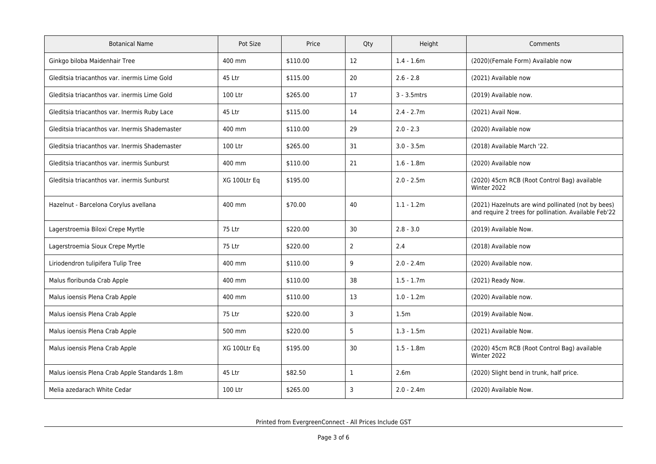| <b>Botanical Name</b>                          | Pot Size     | Price    | Qty            | Height           | Comments                                                                                                    |
|------------------------------------------------|--------------|----------|----------------|------------------|-------------------------------------------------------------------------------------------------------------|
| Ginkgo biloba Maidenhair Tree                  | 400 mm       | \$110.00 | 12             | $1.4 - 1.6m$     | (2020)(Female Form) Available now                                                                           |
| Gleditsia triacanthos var. inermis Lime Gold   | 45 Ltr       | \$115.00 | 20             | $2.6 - 2.8$      | (2021) Available now                                                                                        |
| Gleditsia triacanthos var. inermis Lime Gold   | 100 Ltr      | \$265.00 | 17             | 3 - 3.5mtrs      | (2019) Available now.                                                                                       |
| Gleditsia triacanthos var. Inermis Ruby Lace   | 45 Ltr       | \$115.00 | 14             | $2.4 - 2.7m$     | (2021) Avail Now.                                                                                           |
| Gleditsia triacanthos var. Inermis Shademaster | 400 mm       | \$110.00 | 29             | $2.0 - 2.3$      | (2020) Available now                                                                                        |
| Gleditsia triacanthos var. Inermis Shademaster | 100 Ltr      | \$265.00 | 31             | $3.0 - 3.5m$     | (2018) Available March '22.                                                                                 |
| Gleditsia triacanthos var. inermis Sunburst    | 400 mm       | \$110.00 | 21             | $1.6 - 1.8m$     | (2020) Available now                                                                                        |
| Gleditsia triacanthos var. inermis Sunburst    | XG 100Ltr Eq | \$195.00 |                | $2.0 - 2.5m$     | (2020) 45cm RCB (Root Control Bag) available<br>Winter 2022                                                 |
| Hazelnut - Barcelona Corylus avellana          | 400 mm       | \$70.00  | 40             | $1.1 - 1.2m$     | (2021) Hazelnuts are wind pollinated (not by bees)<br>and require 2 trees for pollination. Available Feb'22 |
| Lagerstroemia Biloxi Crepe Myrtle              | 75 Ltr       | \$220.00 | 30             | $2.8 - 3.0$      | (2019) Available Now.                                                                                       |
| Lagerstroemia Sioux Crepe Myrtle               | 75 Ltr       | \$220.00 | $\overline{2}$ | 2.4              | (2018) Available now                                                                                        |
| Liriodendron tulipifera Tulip Tree             | 400 mm       | \$110.00 | 9              | $2.0 - 2.4m$     | (2020) Available now.                                                                                       |
| Malus floribunda Crab Apple                    | 400 mm       | \$110.00 | 38             | $1.5 - 1.7m$     | (2021) Ready Now.                                                                                           |
| Malus ioensis Plena Crab Apple                 | 400 mm       | \$110.00 | 13             | $1.0 - 1.2m$     | (2020) Available now.                                                                                       |
| Malus ioensis Plena Crab Apple                 | 75 Ltr       | \$220.00 | 3              | 1.5 <sub>m</sub> | (2019) Available Now.                                                                                       |
| Malus ioensis Plena Crab Apple                 | 500 mm       | \$220.00 | 5              | $1.3 - 1.5m$     | (2021) Available Now.                                                                                       |
| Malus ioensis Plena Crab Apple                 | XG 100Ltr Eq | \$195.00 | 30             | $1.5 - 1.8m$     | (2020) 45cm RCB (Root Control Bag) available<br>Winter 2022                                                 |
| Malus ioensis Plena Crab Apple Standards 1.8m  | 45 Ltr       | \$82.50  | $\mathbf{1}$   | 2.6m             | (2020) Slight bend in trunk, half price.                                                                    |
| Melia azedarach White Cedar                    | 100 Ltr      | \$265.00 | 3              | $2.0 - 2.4m$     | (2020) Available Now.                                                                                       |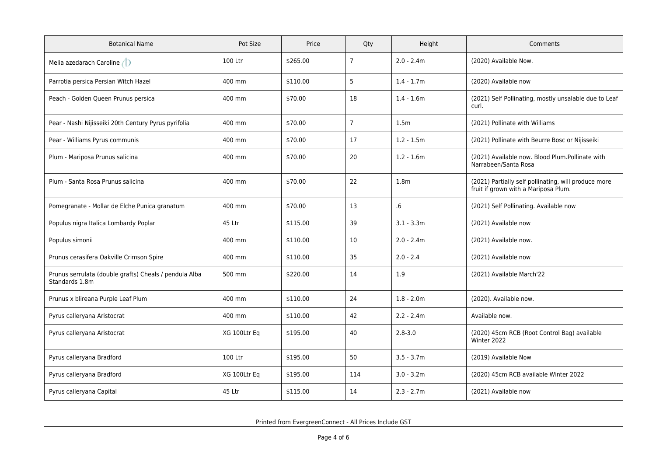| <b>Botanical Name</b>                                                    | Pot Size     | Price    | Qty            | Height           | Comments                                                                                     |
|--------------------------------------------------------------------------|--------------|----------|----------------|------------------|----------------------------------------------------------------------------------------------|
| Melia azedarach Caroline                                                 | 100 Ltr      | \$265.00 | $\overline{7}$ | $2.0 - 2.4m$     | (2020) Available Now.                                                                        |
| Parrotia persica Persian Witch Hazel                                     | 400 mm       | \$110.00 | 5              | $1.4 - 1.7m$     | (2020) Available now                                                                         |
| Peach - Golden Queen Prunus persica                                      | 400 mm       | \$70.00  | 18             | $1.4 - 1.6m$     | (2021) Self Pollinating, mostly unsalable due to Leaf<br>curl.                               |
| Pear - Nashi Nijisseiki 20th Century Pyrus pyrifolia                     | 400 mm       | \$70.00  | $\overline{7}$ | 1.5m             | (2021) Pollinate with Williams                                                               |
| Pear - Williams Pyrus communis                                           | 400 mm       | \$70.00  | 17             | $1.2 - 1.5m$     | (2021) Pollinate with Beurre Bosc or Nijisseiki                                              |
| Plum - Mariposa Prunus salicina                                          | 400 mm       | \$70.00  | 20             | $1.2 - 1.6m$     | (2021) Available now. Blood Plum.Pollinate with<br>Narrabeen/Santa Rosa                      |
| Plum - Santa Rosa Prunus salicina                                        | 400 mm       | \$70.00  | 22             | 1.8 <sub>m</sub> | (2021) Partially self pollinating, will produce more<br>fruit if grown with a Mariposa Plum. |
| Pomegranate - Mollar de Elche Punica granatum                            | 400 mm       | \$70.00  | 13             | $.6\,$           | (2021) Self Pollinating. Available now                                                       |
| Populus nigra Italica Lombardy Poplar                                    | 45 Ltr       | \$115.00 | 39             | $3.1 - 3.3m$     | (2021) Available now                                                                         |
| Populus simonii                                                          | 400 mm       | \$110.00 | 10             | $2.0 - 2.4m$     | (2021) Available now.                                                                        |
| Prunus cerasifera Oakville Crimson Spire                                 | 400 mm       | \$110.00 | 35             | $2.0 - 2.4$      | (2021) Available now                                                                         |
| Prunus serrulata (double grafts) Cheals / pendula Alba<br>Standards 1.8m | 500 mm       | \$220.00 | 14             | 1.9              | (2021) Available March'22                                                                    |
| Prunus x blireana Purple Leaf Plum                                       | 400 mm       | \$110.00 | 24             | $1.8 - 2.0m$     | (2020). Available now.                                                                       |
| Pyrus calleryana Aristocrat                                              | 400 mm       | \$110.00 | 42             | $2.2 - 2.4m$     | Available now.                                                                               |
| Pyrus calleryana Aristocrat                                              | XG 100Ltr Eq | \$195.00 | 40             | $2.8 - 3.0$      | (2020) 45cm RCB (Root Control Bag) available<br>Winter 2022                                  |
| Pyrus calleryana Bradford                                                | 100 Ltr      | \$195.00 | 50             | $3.5 - 3.7m$     | (2019) Available Now                                                                         |
| Pyrus calleryana Bradford                                                | XG 100Ltr Eq | \$195.00 | 114            | $3.0 - 3.2m$     | (2020) 45cm RCB available Winter 2022                                                        |
| Pyrus calleryana Capital                                                 | 45 Ltr       | \$115.00 | 14             | $2.3 - 2.7m$     | (2021) Available now                                                                         |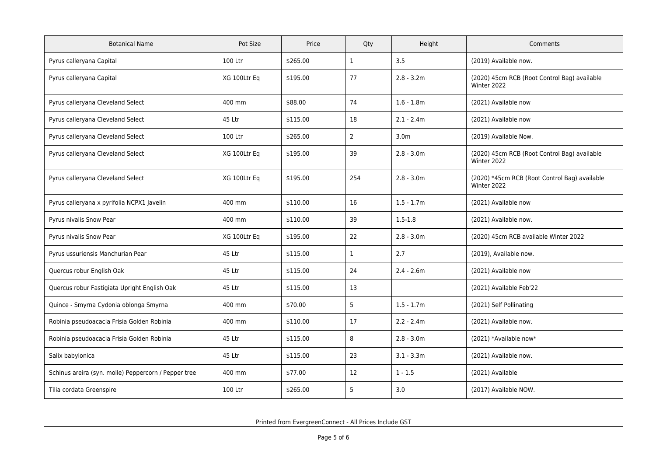| <b>Botanical Name</b>                                | Pot Size     | Price    | Qty            | Height           | Comments                                                     |
|------------------------------------------------------|--------------|----------|----------------|------------------|--------------------------------------------------------------|
| Pyrus calleryana Capital                             | 100 Ltr      | \$265.00 | $\mathbf{1}$   | 3.5              | (2019) Available now.                                        |
| Pyrus calleryana Capital                             | XG 100Ltr Eq | \$195.00 | 77             | $2.8 - 3.2m$     | (2020) 45cm RCB (Root Control Bag) available<br>Winter 2022  |
| Pyrus calleryana Cleveland Select                    | 400 mm       | \$88.00  | 74             | $1.6 - 1.8m$     | (2021) Available now                                         |
| Pyrus calleryana Cleveland Select                    | 45 Ltr       | \$115.00 | 18             | $2.1 - 2.4m$     | (2021) Available now                                         |
| Pyrus calleryana Cleveland Select                    | 100 Ltr      | \$265.00 | $\overline{2}$ | 3.0 <sub>m</sub> | (2019) Available Now.                                        |
| Pyrus calleryana Cleveland Select                    | XG 100Ltr Eq | \$195.00 | 39             | $2.8 - 3.0m$     | (2020) 45cm RCB (Root Control Bag) available<br>Winter 2022  |
| Pyrus calleryana Cleveland Select                    | XG 100Ltr Eq | \$195.00 | 254            | $2.8 - 3.0m$     | (2020) *45cm RCB (Root Control Bag) available<br>Winter 2022 |
| Pyrus calleryana x pyrifolia NCPX1 Javelin           | 400 mm       | \$110.00 | 16             | $1.5 - 1.7m$     | (2021) Available now                                         |
| Pyrus nivalis Snow Pear                              | 400 mm       | \$110.00 | 39             | $1.5 - 1.8$      | (2021) Available now.                                        |
| Pyrus nivalis Snow Pear                              | XG 100Ltr Eq | \$195.00 | 22             | $2.8 - 3.0m$     | (2020) 45cm RCB available Winter 2022                        |
| Pyrus ussuriensis Manchurian Pear                    | 45 Ltr       | \$115.00 | $\mathbf{1}$   | 2.7              | (2019), Available now.                                       |
| Quercus robur English Oak                            | 45 Ltr       | \$115.00 | 24             | $2.4 - 2.6m$     | (2021) Available now                                         |
| Quercus robur Fastigiata Upright English Oak         | 45 Ltr       | \$115.00 | 13             |                  | (2021) Available Feb'22                                      |
| Quince - Smyrna Cydonia oblonga Smyrna               | 400 mm       | \$70.00  | 5              | $1.5 - 1.7m$     | (2021) Self Pollinating                                      |
| Robinia pseudoacacia Frisia Golden Robinia           | 400 mm       | \$110.00 | 17             | $2.2 - 2.4m$     | (2021) Available now.                                        |
| Robinia pseudoacacia Frisia Golden Robinia           | 45 Ltr       | \$115.00 | 8              | $2.8 - 3.0m$     | (2021) *Available now*                                       |
| Salix babylonica                                     | 45 Ltr       | \$115.00 | 23             | $3.1 - 3.3m$     | (2021) Available now.                                        |
| Schinus areira (syn. molle) Peppercorn / Pepper tree | 400 mm       | \$77.00  | 12             | $1 - 1.5$        | (2021) Available                                             |
| Tilia cordata Greenspire                             | 100 Ltr      | \$265.00 | 5              | 3.0              | (2017) Available NOW.                                        |